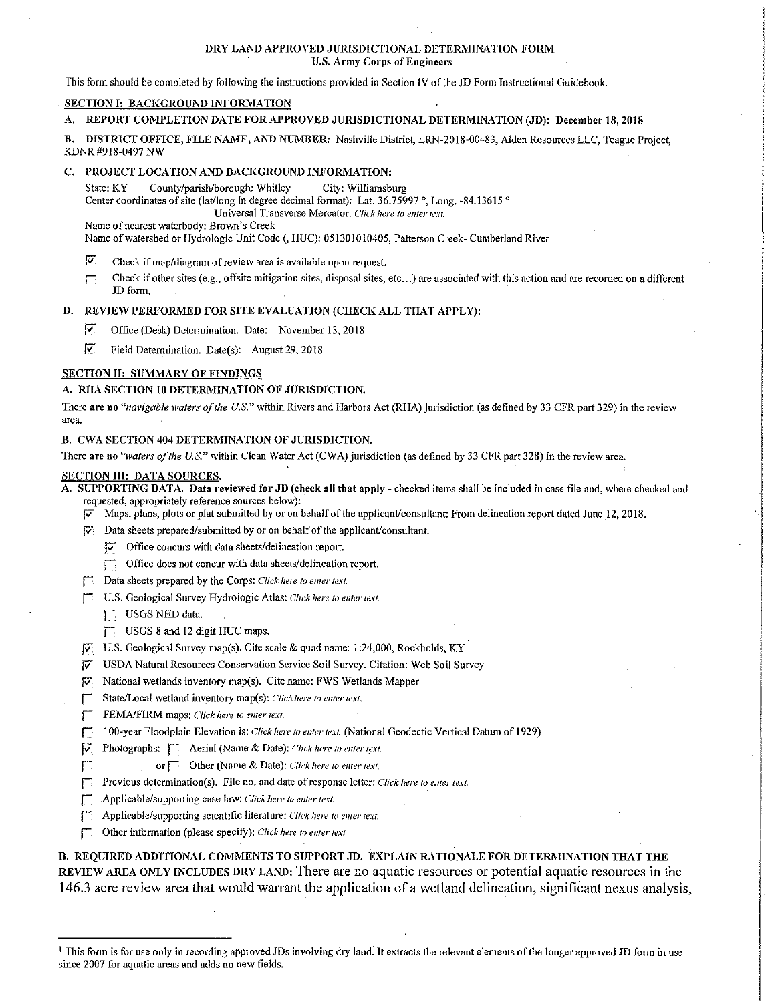## DRY LAND APPROVED JURISDICTIONAL DETERMINATION FORM<sup>1</sup> U.S. Army Corps of Engineers

This fonn should be completed by following the instructions provided in Section IV of the JD Form Instructional Guidebook.

## SECTION I: BACKGROUND INFORMATION

# A. REPORT COMPLETION DATE FOR APPROVED JURISDICTIONAL DETERMINATION (JD): December 18, 2018

B. DISTRICT OFFICE, FILE NAME, AND NUMBER: Nashville District, LRN-2018-00483, Alden Resources LLC, Teague Project, KDNR #918-0497 NW

#### C. PROJECT LOCATION AND BACKGROUND INFORMATION:

State: KY County/parish/borough: Whitley City: Williamsburg Center coordinates of site (lat/long in degree decimal format): Lat. 36.75997 °, Long. -84.13615 ° Universal Transverse Mercator: *Click here 10 enter text.* 

Name of nearest waterbody: Brown's Creek

Name of watershed or Hydrologic Unit Code(, HUC): 051301010405, Patterson Creek- Cumberland River

- $\nabla$ : Check if map/diagram of review area is available upon request.
- The Check if other sites (e.g., offsite mitigation sites, disposal sites, etc...) are associated with this action and are recorded on a different JD form.

#### D. REVIEW PERFORMED FOR SITE EVALUATION (CHECK ALL THAT APPLY):

 $\triangledown$  Office (Desk) Determination. Date: November 13, 2018

 $\overline{Y}$  Field Determination. Date(s): August 29, 2018

## SECTION II: SUMMARY OF FINDINGS

#### A. RHA SECTION 10 DETERMINATION OF JURISDICTION.

There are no "navigable waters of the U.S." within Rivers and Harbors Act (RHA) jurisdiction (as defined by 33 CFR part 329) in the review area.

## B. CWA SECTION 404 DETERMINATION OF JURISDICTION.

There are no "waters of the U.S." within Clean Water Act (CWA) jurisdiction (as defined by 33 CFR part 328) in the review area.

# SECTION III: DATA SOURCES.

A. SUPPORTING DATA. Data reviewed for JD (check all that apply - checked items shall be included in case file and, where checked and requested, appropriately reference sources below):

 $\nabla$  Maps, plans, plots or plat submitted by or on behalf of the applicant/consultant: From delineation report dated June 12, 2018.

 $[\overline{\mathbf{v}}]$  Data sheets prepared/submitted by or on behalf of the applicant/consultant.

fv\_": Office concurs with data sheets/delineation report.

- $\Box$  Office does not concur with data sheets/delineation report.
- **T** Data sheets prepared by the Corps: *Click here to enter text.*
- j U.S. Geological Survey Hydro logic Atlas: *Click here to enter text.* 
	- USGS NHD data.
	- $\Box$  USGS 8 and 12 digit HUC maps.
- $\overline{V_i}$  U.S. Geological Survey map(s). Cite scale & quad name: 1:24,000, Rockholds, KY
- f;; USDA Natural Resources Conservation Service Soil Survey. Citation: Web Soil Survey
- fV'. National wetlands inventory map(s). Cite name: FWS Wetlands Mapper
- State/Local wetland inventory map(s): *Click here to enter text*.
- **F:** FEMA/FIRM maps: *Click here to enter text*.
- ~ 100-year Floodplain Elevation is: *Click here to eilfer text.* (National Geodectic Vertical Datum of 1929)
- $\triangledown$  Photographs:  $\blacksquare$  Aerial (Name & Date): *Click here to enter text.* 
	- or **c** Other (Name & Date): *Click here to enter text*.
- Previous determination(s). File no. and date of response letter: *Click here to enter text.*
- **F** Applicable/supporting case law: *Click here to enter text*.
- **j** Applicable/supporting scientific literature: *Click here to enter text.*
- Other information (please specify): *Click here to enter text.*

B. REQUIRED ADDITIONAL COMMENTS TO SUPPORT JD. EXPLAIN RATIONALE FOR DETERMINATION THAT THE REVIEW AREA ONLY INCLUDES DRY LAND: There are no aquatic resources or potential aquatic resources in the 146.3 acre review area that would warrant the application of a wetland delineation, significant nexus analysis,

<sup>&</sup>lt;sup>1</sup> This form is for use only in recording approved JDs involving dry land. It extracts the relevant elements of the longer approved JD form in use since 2007 for aquatic areas and adds no new fields.